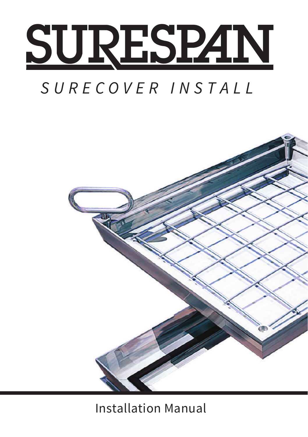

# *S U R E C O VER INSTALL*



Installation Manual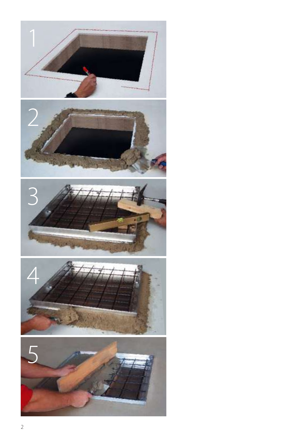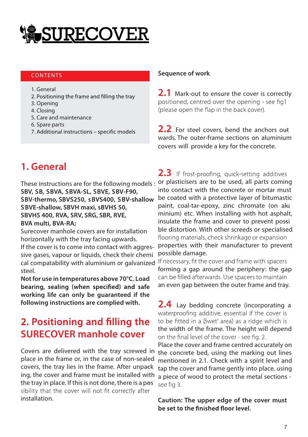

#### **CONTENTS**

- 
- 1. General<br>2. Positioning the frame and filling the tray
- 3. Opening
- 4. Closing
- 5. Care and maintenance
- 6. Spare parts
- 7. Additional instructions specific models

#### **Sequence of work**

**2.1** Mark-out to ensure the cover is correctly positioned, centred over the opening - see fig1 (please open the flap in the back cover).

**2.2** For steel covers, bend the anchors out wards. The outer-frame sections on aluminium covers will provide a key for the concrete.

#### **1. General**

These instructions are for the following models : **SBV, SB, SBVA, SBVA-SL, SBVE, SBV-F90, SBV-thermo, SBVS250, sBVS400, SBV-shallow SBVE-shallow, SBVH maxi, sBVHS 50, SBVHS 400, RVA, SRV, SRG, SBR, RVE, BVA multi, BVA-RA;**

Surecover manhole covers are for installation horizontally with the tray facing upwards. If the cover is to come into contact with aggressive gases, vapour or liquids, check their chemi cal compatability with aluminium or galvanized steel.

**Notfor use in temperatures above 70°C. Load** bearing, sealing (when specified) and safe **working life can only be guaranteed if the following instructions are complied with.**

## 2. Positioning and filling the **SURECOVER manhole cover**

place in the frame or, in the case of non-sealed covers, the tray lies in the frame. After unpack ing, the cover and frame must be installed with the tray in place. If this is not done, there is a pos sibility that the cover will not fit correctly after installation.

2.3 If frost-proofing, quick-setting additives or plasticisers are to be used, all parts coming into contact with the concrete or mortar must be coated with a protective layer of bitumastic paint, coal-tar-epoxy, zinc chromate (on alu minium) etc. When installing with hot asphalt, insulate the frame and cover to prevent possi ble distortion. With other screeds or specialised flooring materials, check shrinkage or expansion properties with their manufacturer to prevent possible damage.

If necessary, fit the cover and frame with spacers forming a gap around the periphery: the gap can be filled afterwards. Use spacers to maintain an even gap between the outer frame and tray.

**2.4** Lay bedding concrete (incorporating a waterproofing additive, essential if the cover is to be fitted in a Bwet' area) as a ridge which is the width of the frame. The height will depend on the final level of the cover - see fig. 2.

Place the cover and frame centred accurately on Covers are delivered with the tray screwed in the concrete bed, using the marking out lines mentioned in 2.1. Check with a spirit level and tap the cover and frame gently into place, using a piece of wood to protect the metal sections see fig 3.

> **Caution: The upper edge of the cover must**  be set to the finished floor level.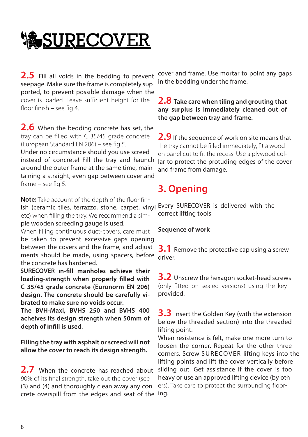

2.5 Fill all voids in the bedding to prevent seepage. Make sure the frame is completely sup ported, to prevent possible damage when the cover is loaded. Leave sufficient height for the floor finish – see fig 4.

**2.6** When the bedding concrete has set, the trav can be filled with C 35/45 grade concrete (European Standard EN 206) – see fig 5. Under no circumstance should you use screed

instead of concrete! Fill the tray and haunch around the outer frame at the same time, main taining a straight, even gap between cover and frame - see fig 5.

ish (ceramic tiles, terrazzo, stone, carpet, vinyl <sup>Every</sup> SURECOVER is delivered with the **Note:** Take account of the depth of the floor finetc) when filling the tray. We recommend a simple wooden screeding gauge is used.

When filling continuous duct-covers, care must be taken to prevent excessive gaps opening between the covers and the frame, and adjust ments should be made, using spacers, before the concrete has hardened.

**SURECOVER** in-fill manholes achieve their loading-strength when properly filled with **C 35/45 grade concrete (Euronorm EN 206) design. The concrete should be carefully vibrated to make sure no voids occur.**

**The BVH-Maxi, BVHS 250 and BVHS 400 acheives its design strength when 50mm of**  depth of infill is used.

**Filling the tray with asphalt or screed will not allow the cover to reach its design strength.**

crete overspill from the edges and seat of the ing. **2.7** When the concrete has reached about 90% of its final strength, take out the cover (see  $(3)$  and  $(4)$  and thoroughly clean away any con

cover and frame. Use mortar to point any gaps in the bedding under the frame.

**2.8 Take care when tiling and grouting that any surplus is immediately cleaned out of the gap between tray and frame.**

**2.9** If the sequence of work on site means that the tray cannot be filled immediately, fit a wooden panel cut to fit the recess. Use a plywood collar to protect the protuding edges of the cover and frame from damage.

## **3. Opening**

correct lifting tools

#### **Sequence of work**

**3.1** Remove the protective cap using a screwdriver.

**3.2** Unscrew the hexagon socket-head screws (only fitted on sealed versions) using the key provided.

**3.3** Insert the Golden Key (with the extension below the threaded section) into the threaded lifting point.

When resistence is felt, make one more turn to loosen the corner. Repeat for the other three corners. Screw SURECOVER lifting keys into the lifting points and lift the cover vertically before sliding out. Get assistance if the cover is too heavy or use an approved lifting device (by oth ers). Take care to protect the surrounding floor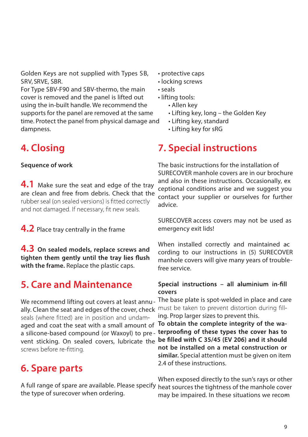Golden Keys are not supplied with Types SB, SRV, SRVE, SBR.

For Type SBV-F90 and SBV-thermo, the main cover is removed and the panel is lifted out using the in-built handle. We recommend the supports for the panel are removed at the same time. Protect the panel from physical damage and dampness.

## **4. Closing**

#### **Sequence of work**

**4.1** Make sure the seat and edge of the tray are clean and free from debris. Check that the rubber seal (on sealed versions) is fitted correctly and not damaged. If necessary, fit new seals.

**4.2** Place tray centrally in the frame

**4.3 On sealed models, replace screws and with the frame.** Replace the plastic caps.

## **5. Care and Maintenance**

We recommend lifting out covers at least annually. Clean the seat and edges of the cover, check seals (where fitted) are in position and undamaged and coat the seat with a small amount of a silicone-based compound (or Waxoyl) to prevent sticking. On sealed covers, lubricate the screws before re-fitting.

### **6. Spare parts**

the type of surecover when ordering.

- protective caps
- locking screws
- seals
- lifting tools:
	- Allen key
	- Lifting key, long the Golden Key
	- Lifting key, standard
	- Lifting key for sRG

## **7. Special instructions**

The basic instructions for the installation of SURECOVER manhole covers are in our brochure and also in these instructions. Occasionally, exceptional conditions arise and we suggest you contact your supplier or ourselves for further advice.

SURECOVER access covers may not be used as emergency exit lids!

When installed correctly and maintained ac cording to our instructions in (5) SURECOVER manhole covers will give many years of troublefree service.

#### Special instructions - all aluminium in-fill **covers**

The base plate is spot-welded in place and care must be taken to prevent distortion during filling. Prop larger sizes to prevent this.

**To obtain the complete integrity of the wa**terproofing of these types the cover has to be filled with C 35/45 (EV 206) and it should **not be installed on a metal construction or similar.** Special attention must be given on item 2.4 of these instructions.

When exposed directly to the sun's rays or other A full range of spare are available. Please specify heat sources the tightness of the manhole cover may be impaired. In these situations we recom-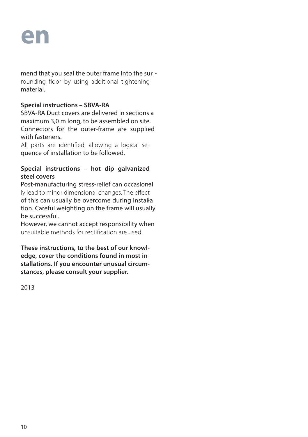# **en**

mend that you seal the outer frame into the sur rounding floor by using additional tightening material.

#### **Special instructions – SBVA-RA**

SBVA-RA Duct covers are delivered in sections a maximum 3,0 m long, to be assembled on site. Connectors for the outer-frame are supplied with fasteners.

All parts are identified, allowing a logical sequence of installation to be followed.

#### **Special instructions – hot dip galvanized steel covers**

Post-manufacturing stress-relief can occasional ly lead to minor dimensional changes. The effect of this can usually be overcome during installa tion. Careful weighting on the frame will usually be successful.

However, we cannot accept responsibility when<br>unsuitable methods for rectification are used

**These instructions, to the best of our knowledge, cover the conditions found in most installations. If you encounter unusual circumstances, please consult your supplier.**

2013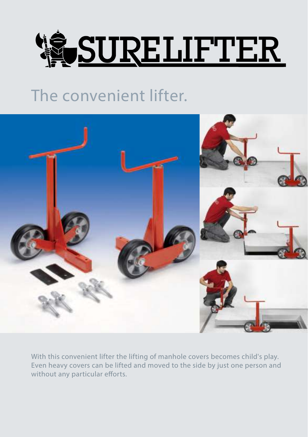

## The convenient lifter.



With this convenient lifter the lifting of manhole covers becomes child's play. Even heavy covers can be lifted and moved to the side by just one person and without any particular efforts.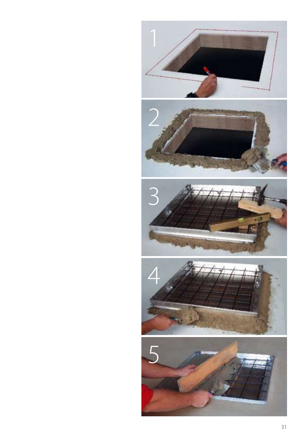